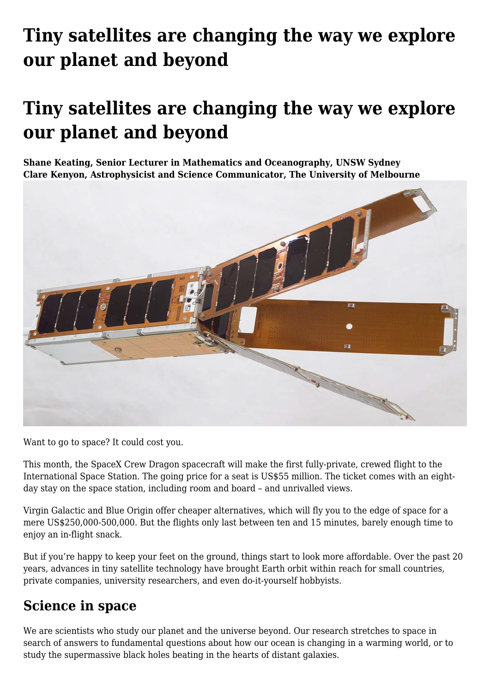# **[Tiny satellites are changing the way we explore](https://www.melbpc.org.au/tiny-satellites-are-changing-the-way-we-explore-our-planet-and-beyond/) [our planet and beyond](https://www.melbpc.org.au/tiny-satellites-are-changing-the-way-we-explore-our-planet-and-beyond/)**

## **Tiny satellites are changing the way we explore our planet and beyond**

**Shane Keating, Senior Lecturer in Mathematics and Oceanography, UNSW Sydney Clare Kenyon, Astrophysicist and Science Communicator, The University of Melbourne**



Want to go to space? It could cost you.

This month, the SpaceX Crew Dragon spacecraft will make the first fully-private, crewed flight to the International Space Station. The going price for a seat is US\$55 million. The ticket comes with an eightday stay on the space station, including room and board – and unrivalled views.

Virgin Galactic and Blue Origin offer cheaper alternatives, which will fly you to the edge of space for a mere US\$250,000-500,000. But the flights only last between ten and 15 minutes, barely enough time to enjoy an in-flight snack.

But if you're happy to keep your feet on the ground, things start to look more affordable. Over the past 20 years, advances in tiny satellite technology have brought Earth orbit within reach for small countries, private companies, university researchers, and even do-it-yourself hobbyists.

#### **Science in space**

We are scientists who study our planet and the universe beyond. Our research stretches to space in search of answers to fundamental questions about how our ocean is changing in a warming world, or to study the supermassive black holes beating in the hearts of distant galaxies.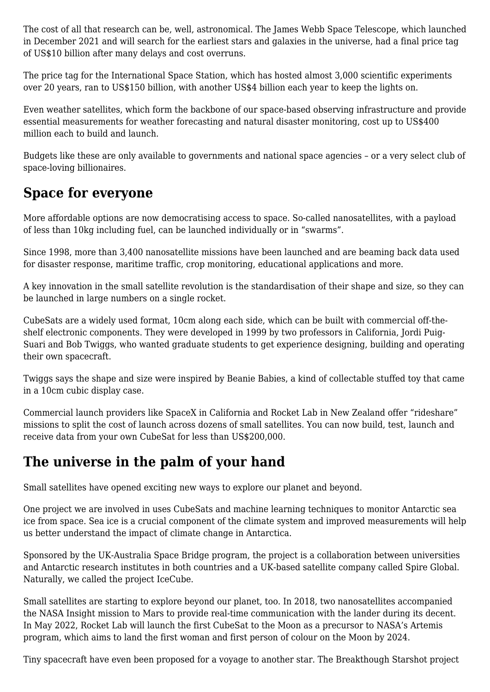The cost of all that research can be, well, astronomical. The James Webb Space Telescope, which launched in December 2021 and will search for the earliest stars and galaxies in the universe, had a final price tag of US\$10 billion after many delays and cost overruns.

The price tag for the International Space Station, which has hosted almost 3,000 scientific experiments over 20 years, ran to US\$150 billion, with another US\$4 billion each year to keep the lights on.

Even weather satellites, which form the backbone of our space-based observing infrastructure and provide essential measurements for weather forecasting and natural disaster monitoring, cost up to US\$400 million each to build and launch.

Budgets like these are only available to governments and national space agencies – or a very select club of space-loving billionaires.

#### **Space for everyone**

More affordable options are now democratising access to space. So-called nanosatellites, with a payload of less than 10kg including fuel, can be launched individually or in "swarms".

Since 1998, more than 3,400 nanosatellite missions have been launched and are beaming back data used for disaster response, maritime traffic, crop monitoring, educational applications and more.

A key innovation in the small satellite revolution is the standardisation of their shape and size, so they can be launched in large numbers on a single rocket.

CubeSats are a widely used format, 10cm along each side, which can be built with commercial off-theshelf electronic components. They were developed in 1999 by two professors in California, Jordi Puig-Suari and Bob Twiggs, who wanted graduate students to get experience designing, building and operating their own spacecraft.

Twiggs says the shape and size were inspired by Beanie Babies, a kind of collectable stuffed toy that came in a 10cm cubic display case.

Commercial launch providers like SpaceX in California and Rocket Lab in New Zealand offer "rideshare" missions to split the cost of launch across dozens of small satellites. You can now build, test, launch and receive data from your own CubeSat for less than US\$200,000.

### **The universe in the palm of your hand**

Small satellites have opened exciting new ways to explore our planet and beyond.

One project we are involved in uses CubeSats and machine learning techniques to monitor Antarctic sea ice from space. Sea ice is a crucial component of the climate system and improved measurements will help us better understand the impact of climate change in Antarctica.

Sponsored by the UK-Australia Space Bridge program, the project is a collaboration between universities and Antarctic research institutes in both countries and a UK-based satellite company called Spire Global. Naturally, we called the project IceCube.

Small satellites are starting to explore beyond our planet, too. In 2018, two nanosatellites accompanied the NASA Insight mission to Mars to provide real-time communication with the lander during its decent. In May 2022, Rocket Lab will launch the first CubeSat to the Moon as a precursor to NASA's Artemis program, which aims to land the first woman and first person of colour on the Moon by 2024.

Tiny spacecraft have even been proposed for a voyage to another star. The Breakthough Starshot project